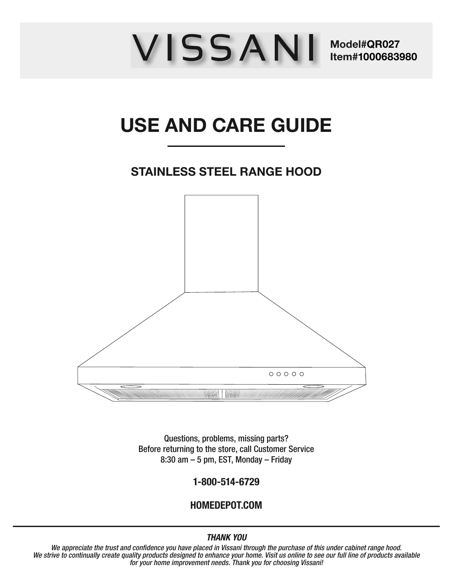# WISSANI Model#QR027 **Item #1000683980**

# **USE AND CARE GUIDE**

# **STAINLESS STEEL RANGE HOOD**



Questions, problems, missing parts? Before returning to the store, call Customer Service 8:30 am – 5 pm, EST, Monday – Friday

1-800-514-6729

#### HOMEDEPOT.COM

#### THANK YOU

We appreciate the trust and confidence you have placed in Vissani through the purchase of this under cabinet range hood. We strive to continually create quality products designed to enhance your home. Visit us online to see our full line of products available for your home improvement needs. Thank you for choosing Vissani!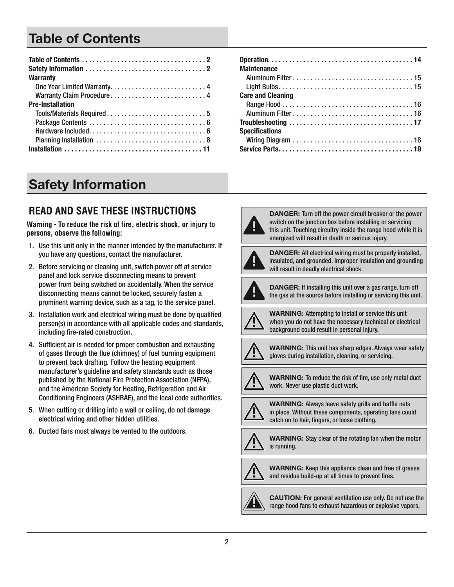# **Table of Contents**

| <b>Warranty</b>            |
|----------------------------|
|                            |
| Warranty Claim Procedure 4 |
| <b>Pre-Installation</b>    |
|                            |
|                            |
|                            |
|                            |
|                            |

| <b>Maintenance</b>       |
|--------------------------|
|                          |
|                          |
| <b>Care and Cleaning</b> |
|                          |
|                          |
|                          |
| <b>Specifications</b>    |
|                          |
|                          |

# **Safety Information**

# **READ AND SAVE THESE INSTRUCTIONS**

**Warning - To reduce the risk of fire, electric shock, or injury to persons, observe the following:**

- 1. Use this unit only in the manner intended by the manufacturer. If you have any questions, contact the manufacturer.
- 2. Before servicing or cleaning unit, switch power off at service panel and lock service disconnecting means to prevent power from being switched on accidentally. When the service disconnecting means cannot be locked, securely fasten a prominent warning device, such as a tag, to the service panel.
- 3 . Installation work and electrical wiring must be done by qualified person(s) in accordance with all applicable codes and standards, including fire-rated construction.
- 4 . Sufficient air is needed for proper combustion and exhausting of gases through the flue (chimney) of fuel burning equipment to prevent back drafting. Follow the heating equipment manufacturer's guideline and safety standards such as those published by the National Fire Protection Association (NFPA), and the American Society for Heating, Refrigeration and Air Conditioning Engineers (ASHRAE), and the local code authorities .
- 5 . When cutting or drilling into a wall or ceiling, do not damage electrical wiring and other hidden utilities .
- 6. Ducted fans must always be vented to the outdoors.



**DANGER:** Turn off the power circuit breaker or the power switch on the junction box before installing or servicing this unit. Touching circuitry inside the range hood while it is energized will result in death or serious injury.



**DANGER:** All electrical wiring must be properly installed, insulated, and grounded. Improper insulation and grounding will result in deadly electrical shock.



**DANGER:** If installing this unit over a gas range, turn off the gas at the source before installing or servicing this unit.



**WARNING:** Attempting to install or service this unit when you do not have the necessary technical or electrical background could result in personal injury.



**WARNING:** This unit has sharp edges. Always wear safety gloves during installation, cleaning, or servicing.



**WARNING:** To reduce the risk of fire, use only metal duct work. Never use plastic duct work.



**WARNING:** Always leave safety grills and baffle nets in place. Without these components, operating fans could catch on to hair, fingers, or loose clothing.



**WARNING:** Stay clear of the rotating fan when the motor is running.



**WARNING:** Keep this appliance clean and free of grease and residue build-up at all times to prevent fires.



**CAUTION:** For general ventilation use only . Do not use the range hood fans to exhaust hazardous or explosive vapors.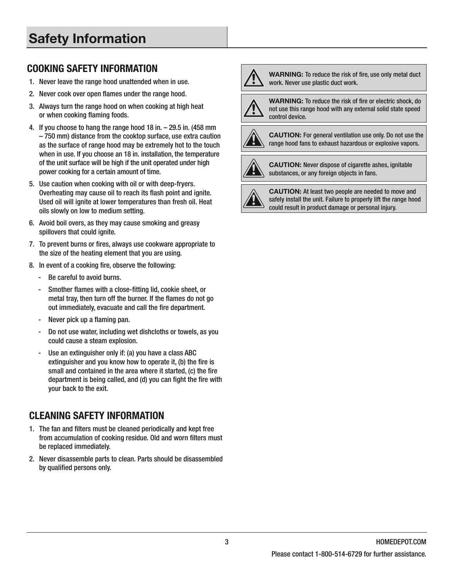# **Safety Information**

#### COOKING SAFETY INFORMATION

- 1. Never leave the range hood unattended when in use.
- 2. Never cook over open flames under the range hood.
- 3 . Always turn the range hood on when cooking at high heat or when cooking flaming foods.
- 4 . If you choose to hang the range hood 18 in. 29.5 in. (458 mm – 750 mm) distance from the cooktop surface, use extra caution as the surface of range hood may be extremely hot to the touch when in use. If you choose an 18 in. installation, the temperature of the unit surface will be high if the unit operated under high power cooking for a certain amount of time.
- 5 . Use caution when cooking with oil or with deep-fryers. Overheating may cause oil to reach its flash point and ignite. Used oil will ignite at lower temperatures than fresh oil . Heat oils slowly on low to medium setting.
- 6 . Avoid boil overs, as they may cause smoking and greasy spillovers that could ignite.
- 7. To prevent burns or fires, always use cookware appropriate to the size of the heating element that you are using.
- 8. In event of a cooking fire, observe the following:
	- Be careful to avoid burns.
	- Smother flames with a close-fitting lid, cookie sheet, or metal tray, then turn off the burner. If the flames do not go out immediately, evacuate and call the fire department.
	- Never pick up a flaming pan.
	- Do not use water, including wet dishcloths or towels, as you could cause a steam explosion.
	- Use an extinguisher only if: (a) you have a class ABC extinguisher and you know how to operate it, (b) the fire is small and contained in the area where it started, (c) the fire department is being called, and (d) you can fight the fire with your back to the exit.

#### CLEANING SAFETY INFORMATION

- 1 . The fan and filters must be cleaned periodically and kept free from accumulation of cooking residue. Old and worn filters must be replaced immediately.
- 2. Never disassemble parts to clean. Parts should be disassembled by qualified persons only.



**WARNING:** To reduce the risk of fire, use only metal duct work. Never use plastic duct work.

**WARNING:** To reduce the risk of fire or electric shock, do not use this range hood with any external solid state speed control device.



**CAUTION:** For general ventilation use only . Do not use the range hood fans to exhaust hazardous or explosive vapors.



**CAUTION:** Never dispose of cigarette ashes, ignitable substances, or any foreign objects in fans.

**CAUTION:** At least two people are needed to move and safely install the unit. Failure to properly lift the range hood could result in product damage or personal injury.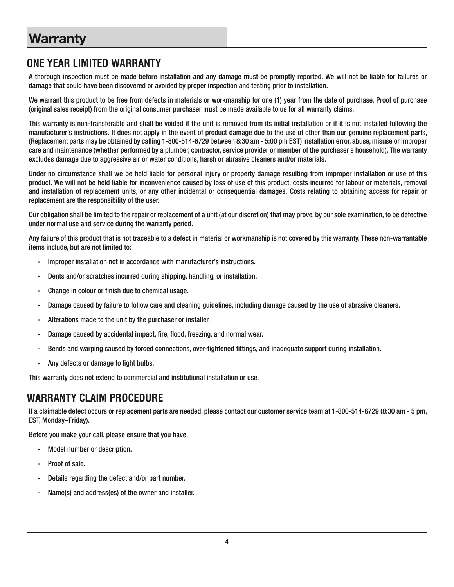### **ONE YEAR LIMITED WARRANTY**

A thorough inspection must be made before installation and any damage must be promptly reported . We will not be liable for failures or damage that could have been discovered or avoided by proper inspection and testing prior to installation.

We warrant this product to be free from defects in materials or workmanship for one (1) year from the date of purchase . Proof of purchase (original sales receipt) from the original consumer purchaser must be made available to us for all warranty claims .

This warranty is non-transferable and shall be voided if the unit is removed from its initial installation or if it is not installed following the manufacturer's instructions . It does not apply in the event of product damage due to the use of other than our genuine replacement parts, (Replacement parts may be obtained by calling 1-800-514-6729 between 8:30 am - 5:00 pm EST) installation error, abuse, misuse or improper care and maintenance (whether performed by a plumber, contractor, service provider or member of the purchaser's household) . The warranty excludes damage due to aggressive air or water conditions, harsh or abrasive cleaners and/or materials.

Under no circumstance shall we be held liable for personal injury or property damage resulting from improper installation or use of this product . We will not be held liable for inconvenience caused by loss of use of this product, costs incurred for labour or materials, removal and installation of replacement units, or any other incidental or consequential damages . Costs relating to obtaining access for repair or replacement are the responsibility of the user.

Our obligation shall be limited to the repair or replacement of a unit (at our discretion) that may prove, by our sole examination, to be defective under normal use and service during the warranty period.

Any failure of this product that is not traceable to a defect in material or workmanship is not covered by this warranty. These non-warrantable items include, but are not limited to:

- Improper installation not in accordance with manufacturer's instructions.
- Dents and/or scratches incurred during shipping, handling, or installation.
- Change in colour or finish due to chemical usage.
- Damage caused by failure to follow care and cleaning guidelines, including damage caused by the use of abrasive cleaners .
- Alterations made to the unit by the purchaser or installer.
- Damage caused by accidental impact, fire, flood, freezing, and normal wear.
- Bends and warping caused by forced connections, over-tightened fittings, and inadequate support during installation.
- Any defects or damage to light bulbs.

This warranty does not extend to commercial and institutional installation or use.

#### **WARRANTY CLAIM PROCEDURE**

If a claimable defect occurs or replacement parts are needed, please contact our customer service team at 1-800-514-6729 (8:30 am - 5 pm, EST, Monday–Friday) .

Before you make your call, please ensure that you have:

- Model number or description.
- Proof of sale.
- Details regarding the defect and/or part number.
- Name(s) and address(es) of the owner and installer.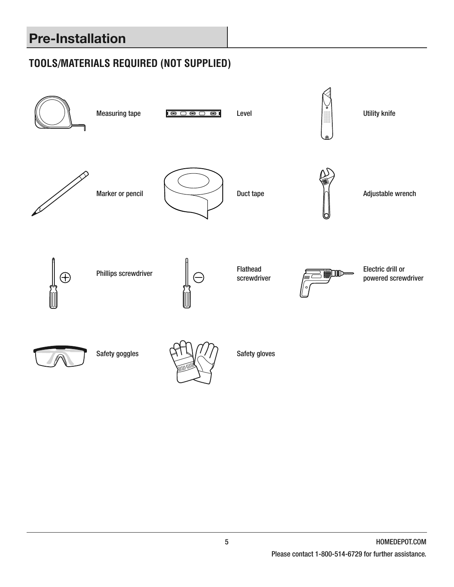# **Pre-Installation**

# **TOOLS/MATERIALS REQUIRED (NOT SUPPLIED)**

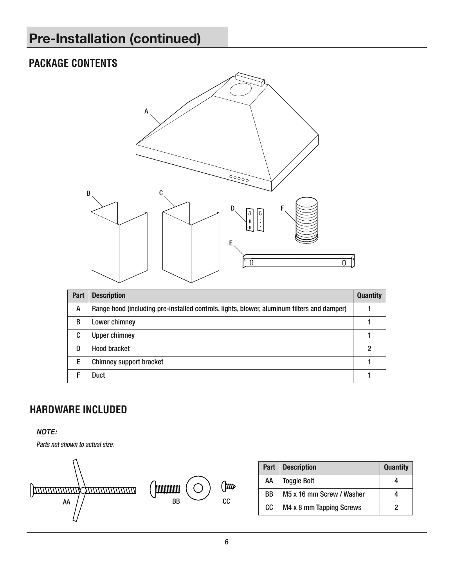# **Pre-Installation (continued)**

# **PACKAGE CONTENTS**



| Part | <b>Description</b>                                                                         | <b>Quantity</b> |
|------|--------------------------------------------------------------------------------------------|-----------------|
| A    | Range hood (including pre-installed controls, lights, blower, aluminum filters and damper) |                 |
| B    | Lower chimney                                                                              |                 |
| C    | <b>Upper chimney</b>                                                                       |                 |
| D    | <b>Hood bracket</b>                                                                        |                 |
| Е    | <b>Chimney support bracket</b>                                                             |                 |
|      | Duct                                                                                       |                 |

# **HARDWARE INCLUDED**

#### **NOTE:**





| Part | Description               | <b>Quantity</b> |
|------|---------------------------|-----------------|
| АΑ   | <b>Toggle Bolt</b>        |                 |
| ВB   | M5 x 16 mm Screw / Washer |                 |
| CC.  | M4 x 8 mm Tapping Screws  |                 |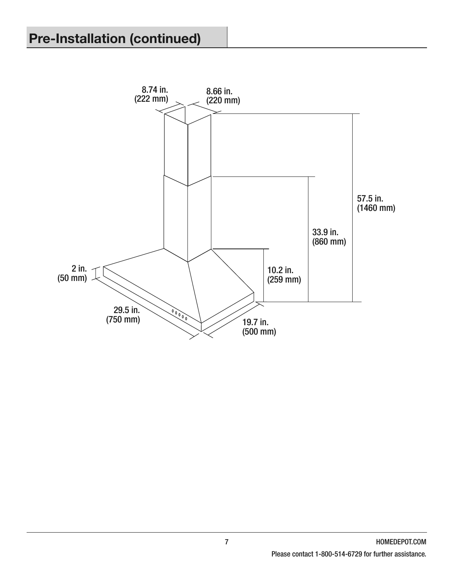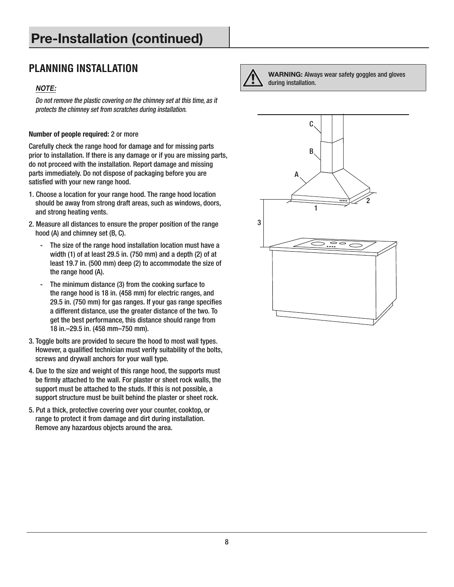# **Pre-Installation (continued)**

# **PLANNING INSTALLATION**

#### **NOTE:**

Do not remove the plastic covering on the chimney set at this time, as it protects the chimney set from scratches during installation.

#### Number of people required: 2 or more

Carefully check the range hood for damage and for missing parts prior to installation. If there is any damage or if you are missing parts, do not proceed with the installation. Report damage and missing parts immediately. Do not dispose of packaging before you are satisfied with your new range hood.

- 1 . Choose a location for your range hood . The range hood location should be away from strong draft areas, such as windows, doors, and strong heating vents.
- 2 . Measure all distances to ensure the proper position of the range hood (A) and chimney set (B, C).
	- The size of the range hood installation location must have a width (1) of at least 29.5 in. (750 mm) and a depth (2) of at least 19.7 in. (500 mm) deep (2) to accommodate the size of the range hood (A).
	- The minimum distance (3) from the cooking surface to the range hood is 18 in. (458 mm) for electric ranges, and 29.5 in. (750 mm) for gas ranges. If your gas range specifies a different distance, use the greater distance of the two. To get the best performance, this distance should range from 18 in.–29.5 in. (458 mm–750 mm).
- 3. Toggle bolts are provided to secure the hood to most wall types. However, a qualified technician must verify suitability of the bolts, screws and drywall anchors for your wall type.
- 4 . Due to the size and weight of this range hood, the supports must be firmly attached to the wall. For plaster or sheet rock walls, the support must be attached to the studs . If this is not possible, a support structure must be built behind the plaster or sheet rock .
- 5 . Put a thick, protective covering over your counter, cooktop, or range to protect it from damage and dirt during installation. Remove any hazardous objects around the area .



**WARNING:** Always wear safety goggles and gloves during installation.

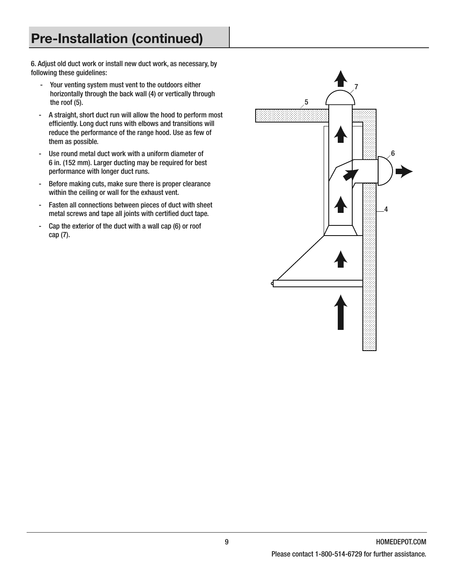# **Pre-Installation (continued)**

6 . Adjust old duct work or install new duct work, as necessary, by following these guidelines:

- Your venting system must vent to the outdoors either horizontally through the back wall (4) or vertically through the roof  $(5)$ .
- A straight, short duct run will allow the hood to perform most efficiently. Long duct runs with elbows and transitions will reduce the performance of the range hood. Use as few of them as possible.
- Use round metal duct work with a uniform diameter of 6 in. (152 mm). Larger ducting may be required for best performance with longer duct runs.
- Before making cuts, make sure there is proper clearance within the ceiling or wall for the exhaust vent.
- Fasten all connections between pieces of duct with sheet metal screws and tape all joints with certified duct tape.
- Cap the exterior of the duct with a wall cap (6) or roof cap (7).

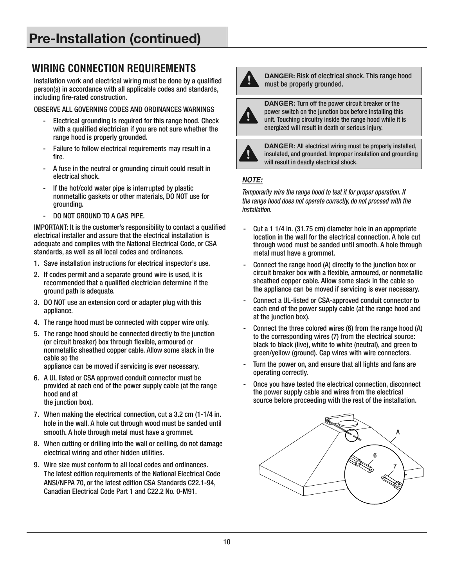# **WIRING CONNECTION REQUIREMENTS**

Installation work and electrical wiring must be done by a qualified person(s) in accordance with all applicable codes and standards, including fire-rated construction.

OBSERVE ALL GOVERNING CODES AND ORDINANCES WARNINGS

- Electrical grounding is required for this range hood. Check with a qualified electrician if you are not sure whether the range hood is properly grounded.
- Failure to follow electrical requirements may result in a fire.
- A fuse in the neutral or grounding circuit could result in electrical shock.
- If the hot/cold water pipe is interrupted by plastic nonmetallic gaskets or other materials, DO NOT use for grounding.
- DO NOT GROUND TO A GAS PIPE.

IMPORTANT: It is the customer's responsibility to contact a qualified electrical installer and assure that the electrical installation is adequate and complies with the National Electrical Code, or CSA standards, as well as all local codes and ordinances .

- 1. Save installation instructions for electrical inspector's use.
- 2. If codes permit and a separate ground wire is used, it is recommended that a qualified electrician determine if the ground path is adequate.
- 3 . DO NOT use an extension cord or adapter plug with this appliance.
- 4. The range hood must be connected with copper wire only.
- 5 . The range hood should be connected directly to the junction (or circuit breaker) box through flexible, armoured or nonmetallic sheathed copper cable . Allow some slack in the cable so the

appliance can be moved if servicing is ever necessary.

- 6 . A UL listed or CSA approved conduit connector must be provided at each end of the power supply cable (at the range hood and at the junction box).
- 7. When making the electrical connection, cut a 3.2 cm (1-1/4 in. hole in the wall. A hole cut through wood must be sanded until smooth. A hole through metal must have a grommet.
- 8. When cutting or drilling into the wall or ceilling, do not damage electrical wiring and other hidden utilities.
- 9. Wire size must conform to all local codes and ordinances . The latest edition requirements of the National Electrical Code ANSI/NFPA 70, or the latest edition CSA Standards C22.1-94, Canadian Electrical Code Part 1 and C22.2 No. 0-M91.



**DANGER:** Risk of electrical shock. This range hood must be properly grounded.



**DANGER:** Turn off the power circuit breaker or the power switch on the junction box before installing this unit. Touching circuitry inside the range hood while it is energized will result in death or serious injury.



**DANGER:** All electrical wiring must be properly installed, insulated, and grounded. Improper insulation and grounding will result in deadly electrical shock.

#### **NOTE:**

Temporarily wire the range hood to test it for proper operation. If the range hood does not operate correctly, do not proceed with the installation.

- Cut a 1 1/4 in. (31.75 cm) diameter hole in an appropriate location in the wall for the electrical connection . A hole cut through wood must be sanded until smooth. A hole through metal must have a grommet.
- Connect the range hood (A) directly to the junction box or circuit breaker box with a flexible, armoured, or nonmetallic sheathed copper cable . Allow some slack in the cable so the appliance can be moved if servicing is ever necessary.
- Connect a UL-listed or CSA-approved conduit connector to each end of the power supply cable (at the range hood and at the junction box).
- Connect the three colored wires (6) from the range hood (A) to the corresponding wires (7) from the electrical source: black to black (live), white to white (neutral), and green to green/yellow (ground). Cap wires with wire connectors.
- Turn the power on, and ensure that all lights and fans are operating correctly.
- Once you have tested the electrical connection, disconnect the power supply cable and wires from the electrical source before proceeding with the rest of the installation.

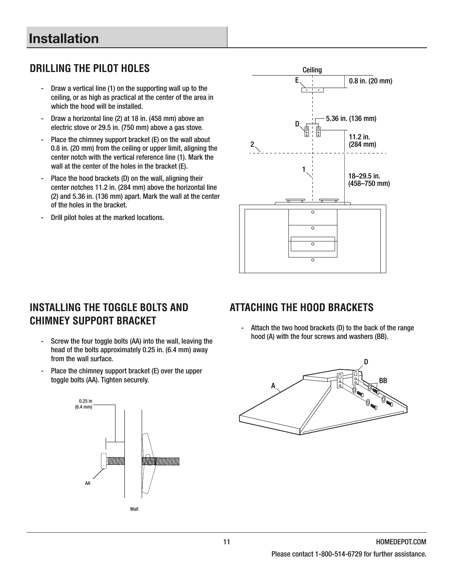# **Installation**

# **DRILLING THE PILOT HOLES**

- Draw a vertical line (1) on the supporting wall up to the ceiling, or as high as practical at the center of the area in which the hood will be installed.
- Draw a horizontal line (2) at 18 in. (458 mm) above an electric stove or 29.5 in. (750 mm) above a gas stove.
- Place the chimney support bracket (E) on the wall about 0 .8 in . (20 mm) from the ceiling or upper limit, aligning the center notch with the vertical reference line (1) . Mark the wall at the center of the holes in the bracket (E).
- Place the hood brackets (D) on the wall, aligning their center notches 11.2 in. (284 mm) above the horizontal line (2) and 5.36 in. (136 mm) apart. Mark the wall at the center of the holes in the bracket.
- Drill pilot holes at the marked locations.



### **INSTALLING THE TOGGLE BOLTS AND CHIMNEY SUPPORT BRACKET**

- Screw the four toggle bolts (AA) into the wall, leaving the head of the bolts approximately 0.25 in. (6.4 mm) away from the wall surface.
- Place the chimney support bracket (E) over the upper toggle bolts (AA). Tighten securely.



**ATTACHING THE HOOD BRACKETS**

Attach the two hood brackets (D) to the back of the range hood (A) with the four screws and washers (BB).

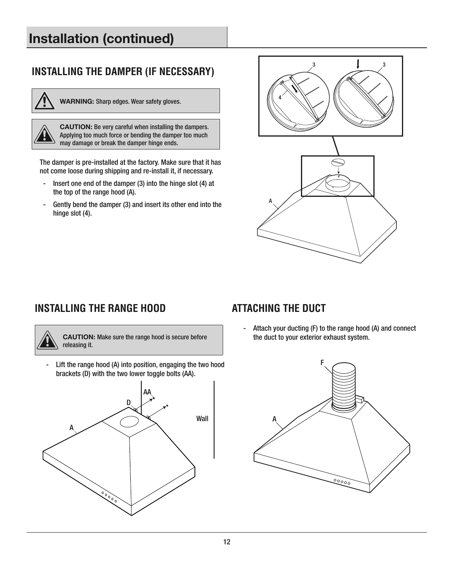# **Installation (continued)**

# **INSTALLING THE DAMPER (IF NECESSARY)**



**WARNING:** Sharp edges. Wear safety gloves.

**CAUTION:** Be very careful when installing the dampers. Applying too much force or bending the damper too much may damage or break the damper hinge ends.

The damper is pre-installed at the factory. Make sure that it has not come loose during shipping and re-install it, if necessary.

- Insert one end of the damper (3) into the hinge slot (4) at the top of the range hood (A).
- Gently bend the damper (3) and insert its other end into the hinge slot (4).



### **INSTALLING THE RANGE HOOD**

# **ATTACHING THE DUCT**



**CAUTION:** Make sure the range hood is secure before releasing it.

- Lift the range hood (A) into position, engaging the two hood brackets (D) with the two lower toggle bolts (AA) .



- Attach your ducting (F) to the range hood (A) and connect the duct to your exterior exhaust system.

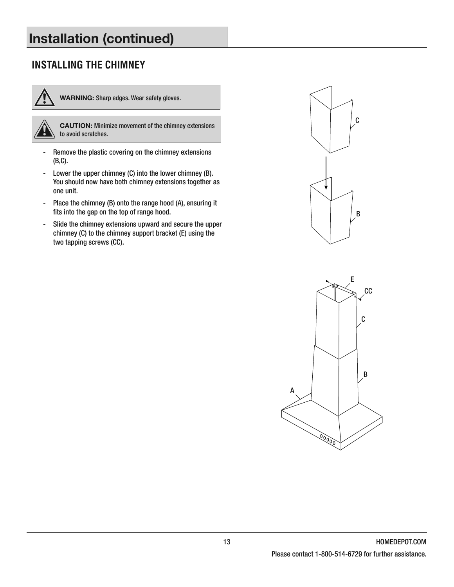# **Installation (continued)**

# **INSTALLING THE CHIMNEY**



**WARNING:** Sharp edges. Wear safety gloves.



**CAUTION:** Minimize movement of the chimney extensions  $\setminus$  to avoid scratches.

- Remove the plastic covering on the chimney extensions (B,C) .
- Lower the upper chimney (C) into the lower chimney (B). You should now have both chimney extensions together as one unit.
- Place the chimney (B) onto the range hood (A), ensuring it fits into the gap on the top of range hood.
- Slide the chimney extensions upward and secure the upper chimney (C) to the chimney support bracket (E) using the two tapping screws (CC).



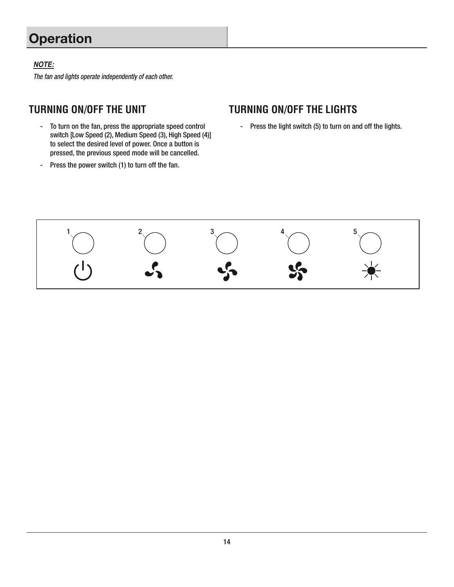# **Operation**

#### **NOTE:**

The fan and lights operate independently of each other.

# **TURNING ON/OFF THE UNIT**

- To turn on the fan, press the appropriate speed control switch [Low Speed (2), Medium Speed (3), High Speed (4)] to select the desired level of power. Once a button is pressed, the previous speed mode will be cancelled.
- Press the power switch (1) to turn off the fan.

#### **TURNING ON/OFF THE LIGHTS**

- Press the light switch (5) to turn on and off the lights.

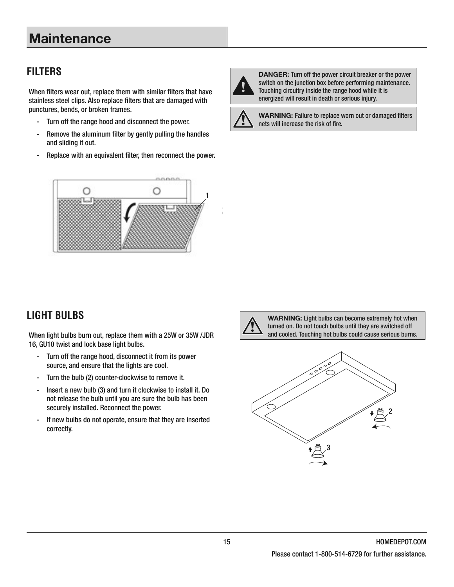# **Maintenance**

# **FILTERS**

When filters wear out, replace them with similar filters that have stainless steel clips. Also replace filters that are damaged with punctures, bends, or broken frames.

- Turn off the range hood and disconnect the power.
- Remove the aluminum filter by gently pulling the handles and sliding it out.
- Replace with an equivalent filter, then reconnect the power.



**DANGER:** Turn off the power circuit breaker or the power switch on the junction box before performing maintenance. Touching circuitry inside the range hood while it is energized will result in death or serious injury.



**WARNING:** Failure to replace worn out or damaged filters nets will increase the risk of fire.



# **LIGHT BULBS**

When light bulbs burn out, replace them with a 25W or 35W /JDR 16, GU10 twist and lock base light bulbs.

- Turn off the range hood, disconnect it from its power source, and ensure that the lights are cool.
- Turn the bulb (2) counter-clockwise to remove it.
- Insert a new bulb (3) and turn it clockwise to install it. Do not release the bulb until you are sure the bulb has been securely installed. Reconnect the power.
- If new bulbs do not operate, ensure that they are inserted correctly.



**WARNING:** Light bulbs can become extremely hot when turned on. Do not touch bulbs until they are switched off and cooled. Touching hot bulbs could cause serious burns.

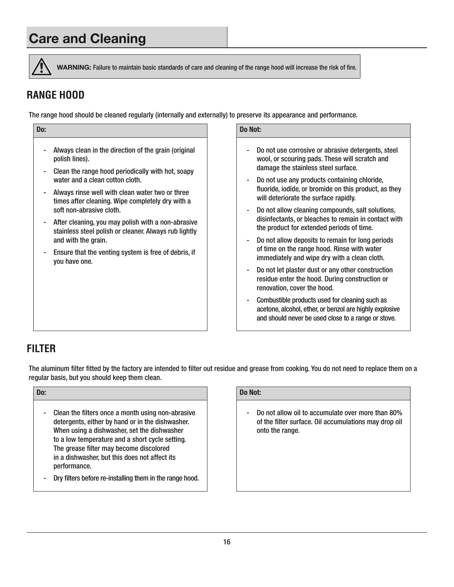# **Care and Cleaning**



**WARNING:** Failure to maintain basic standards of care and cleaning of the range hood will increase the risk of fire.

# **RANGE HOOD**

The range hood should be cleaned regularly (internally and externally) to preserve its appearance and performance.

| Do: |                                                                                                                                    | Do Not:      |
|-----|------------------------------------------------------------------------------------------------------------------------------------|--------------|
|     | Always clean in the direction of the grain (original<br>polish lines).                                                             | w            |
|     | Clean the range hood periodically with hot, soapy<br>water and a clean cotton cloth.                                               | d<br>D       |
| ۰.  | Always rinse well with clean water two or three<br>times after cleaning. Wipe completely dry with a<br>soft non-abrasive cloth.    | fl<br>W<br>D |
| ۰.  | After cleaning, you may polish with a non-abrasive<br>stainless steel polish or cleaner. Always rub lightly<br>and with the grain. | d<br>tł<br>D |
| ۰   | Ensure that the venting system is free of debris, if<br>you have one.                                                              | 0<br>ir      |
|     |                                                                                                                                    | D<br>r<br>r  |
|     |                                                                                                                                    | a            |

- Do not use corrosive or abrasive detergents, steel wool, or scouring pads . These will scratch and damage the stainless steel surface.
- Do not use any products containing chloride, fluoride, iodide, or bromide on this product, as they will deteriorate the surface rapidly.
- Do not allow cleaning compounds, salt solutions, disinfectants, or bleaches to remain in contact with the product for extended periods of time.
- Do not allow deposits to remain for long periods of time on the range hood. Rinse with water immediately and wipe dry with a clean cloth.
- Do not let plaster dust or any other construction residue enter the hood. During construction or renovation, cover the hood.
- Combustible products used for cleaning such as acetone, alcohol, ether, or benzol are highly explosive and should never be used close to a range or stove.

### **FILTER**

The aluminum filter fitted by the factory are intended to filter out residue and grease from cooking. You do not need to replace them on a regular basis, but you should keep them clean.

| Do: |                                                                                                                                                                                                                                                                                                                     | Do Not:                |
|-----|---------------------------------------------------------------------------------------------------------------------------------------------------------------------------------------------------------------------------------------------------------------------------------------------------------------------|------------------------|
|     | Clean the filters once a month using non-abrasive<br>detergents, either by hand or in the dishwasher.<br>When using a dishwasher, set the dishwasher<br>to a low temperature and a short cycle setting.<br>The grease filter may become discolored<br>in a dishwasher, but this does not affect its<br>performance. | n<br>0<br>$\mathbf{O}$ |
|     | Dry filtore boforo ro-inetalling them in the range bood                                                                                                                                                                                                                                                             |                        |

- Dry filters before re-installing them in the range hood.

Do not allow oil to accumulate over more than 80% of the filter surface. Oil accumulations may drop oil onto the range.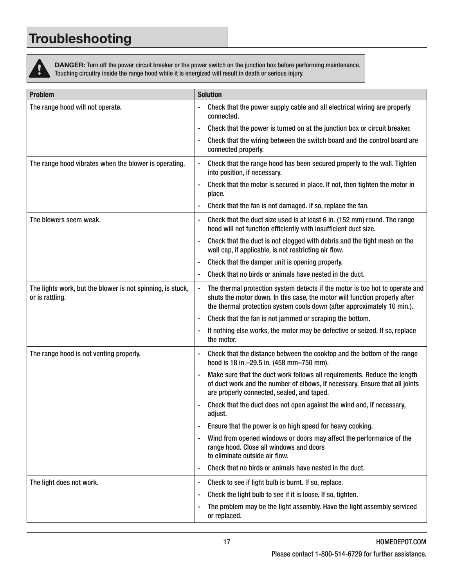# **Troubleshooting**

ļ

**DANGER:** Turn off the power circuit breaker or the power switch on the junction box before performing maintenance. Touching circuitry inside the range hood while it is energized will result in death or serious injury .

| <b>Problem</b>                                                                | <b>Solution</b>                                                                                                                                                                                                                       |
|-------------------------------------------------------------------------------|---------------------------------------------------------------------------------------------------------------------------------------------------------------------------------------------------------------------------------------|
| The range hood will not operate.                                              | Check that the power supply cable and all electrical wiring are properly<br>connected.                                                                                                                                                |
|                                                                               | Check that the power is turned on at the junction box or circuit breaker.                                                                                                                                                             |
|                                                                               | Check that the wiring between the switch board and the control board are<br>connected properly.                                                                                                                                       |
| The range hood vibrates when the blower is operating.                         | Check that the range hood has been secured properly to the wall. Tighten<br>into position, if necessary.                                                                                                                              |
|                                                                               | Check that the motor is secured in place. If not, then tighten the motor in<br>place.                                                                                                                                                 |
|                                                                               | Check that the fan is not damaged. If so, replace the fan.                                                                                                                                                                            |
| The blowers seem weak.                                                        | Check that the duct size used is at least 6 in. (152 mm) round. The range<br>hood will not function efficiently with insufficient duct size.                                                                                          |
|                                                                               | Check that the duct is not clogged with debris and the tight mesh on the<br>wall cap, if applicable, is not restricting air flow.                                                                                                     |
|                                                                               | Check that the damper unit is opening properly.                                                                                                                                                                                       |
|                                                                               | Check that no birds or animals have nested in the duct.                                                                                                                                                                               |
| The lights work, but the blower is not spinning, is stuck,<br>or is rattling. | The thermal protection system detects if the motor is too hot to operate and<br>shuts the motor down. In this case, the motor will function properly after<br>the thermal protection system cools down (after approximately 10 min.). |
|                                                                               | Check that the fan is not jammed or scraping the bottom.<br>-                                                                                                                                                                         |
|                                                                               | If nothing else works, the motor may be defective or seized. If so, replace<br>the motor.                                                                                                                                             |
| The range hood is not venting properly.                                       | Check that the distance between the cooktop and the bottom of the range<br>-<br>hood is 18 in. - 29.5 in. (458 mm - 750 mm).                                                                                                          |
|                                                                               | Make sure that the duct work follows all requirements. Reduce the length<br>of duct work and the number of elbows, if necessary. Ensure that all joints<br>are properly connected, sealed, and taped.                                 |
|                                                                               | Check that the duct does not open against the wind and, if necessary,<br>adjust.                                                                                                                                                      |
|                                                                               | Ensure that the power is on high speed for heavy cooking.                                                                                                                                                                             |
|                                                                               | Wind from opened windows or doors may affect the performance of the<br>۰<br>range hood. Close all windows and doors<br>to eliminate outside air flow.                                                                                 |
|                                                                               | Check that no birds or animals have nested in the duct.                                                                                                                                                                               |
| The light does not work.                                                      | Check to see if light bulb is burnt. If so, replace.                                                                                                                                                                                  |
|                                                                               | Check the light bulb to see if it is loose. If so, tighten.                                                                                                                                                                           |
|                                                                               | The problem may be the light assembly. Have the light assembly serviced<br>or replaced.                                                                                                                                               |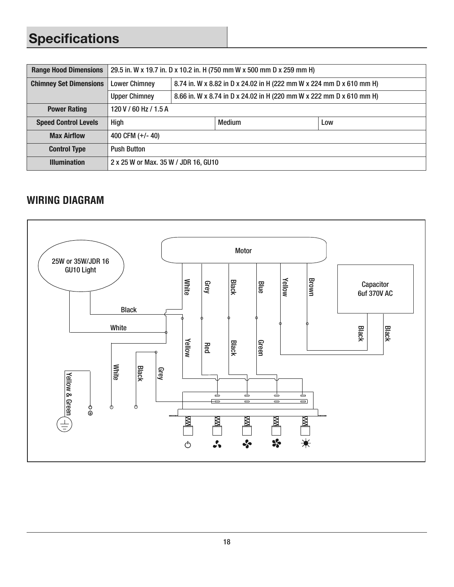# **Specifications**

| <b>Range Hood Dimensions</b>  | 29.5 in. W x 19.7 in. D x 10.2 in. H (750 mm W x 500 mm D x 259 mm H)                        |                                                                      |               |     |
|-------------------------------|----------------------------------------------------------------------------------------------|----------------------------------------------------------------------|---------------|-----|
| <b>Chimney Set Dimensions</b> | <b>Lower Chimney</b><br>8.74 in. W x 8.82 in D x 24.02 in H (222 mm W x 224 mm D x 610 mm H) |                                                                      |               |     |
|                               | <b>Upper Chimney</b>                                                                         | 8.66 in. W x 8.74 in D x 24.02 in H (220 mm W x 222 mm D x 610 mm H) |               |     |
| <b>Power Rating</b>           | 120 V / 60 Hz / 1.5 A                                                                        |                                                                      |               |     |
| <b>Speed Control Levels</b>   | <b>High</b>                                                                                  |                                                                      | <b>Medium</b> | Low |
| <b>Max Airflow</b>            | 400 CFM $(+/- 40)$                                                                           |                                                                      |               |     |
| <b>Control Type</b>           | <b>Push Button</b>                                                                           |                                                                      |               |     |
| <b>Illumination</b>           | 2 x 25 W or Max. 35 W / JDR 16, GU10                                                         |                                                                      |               |     |

# **WIRING DIAGRAM**

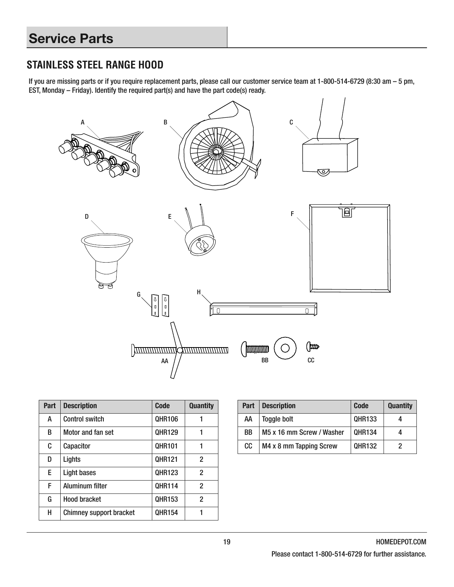# **STAINLESS STEEL RANGE HOOD**

If you are missing parts or if you require replacement parts, please call our customer service team at 1-800-514-6729 (8:30 am – 5 pm, EST, Monday – Friday) . Identify the required part(s) and have the part code(s) ready .



| Part | <b>Description</b>             | Code          | <b>Quantity</b> |
|------|--------------------------------|---------------|-----------------|
| A    | <b>Control switch</b>          | <b>QHR106</b> |                 |
| B    | Motor and fan set              | <b>OHR129</b> |                 |
| C    | Capacitor                      | <b>OHR101</b> | 1               |
| D    | Lights                         | <b>OHR121</b> | 2               |
| E.   | Light bases                    | <b>OHR123</b> | 2               |
| F    | Aluminum filter                | <b>OHR114</b> | 2               |
| G    | <b>Hood bracket</b>            | <b>QHR153</b> | 2               |
| н    | <b>Chimney support bracket</b> | <b>OHR154</b> |                 |

| Part | <b>Description</b>        | <b>Code</b>   | <b>Quantity</b> |
|------|---------------------------|---------------|-----------------|
| AA   | Toggle bolt               | <b>QHR133</b> |                 |
| BB   | M5 x 16 mm Screw / Washer | <b>QHR134</b> | 4               |
| cc   | M4 x 8 mm Tapping Screw   | <b>QHR132</b> | 2               |